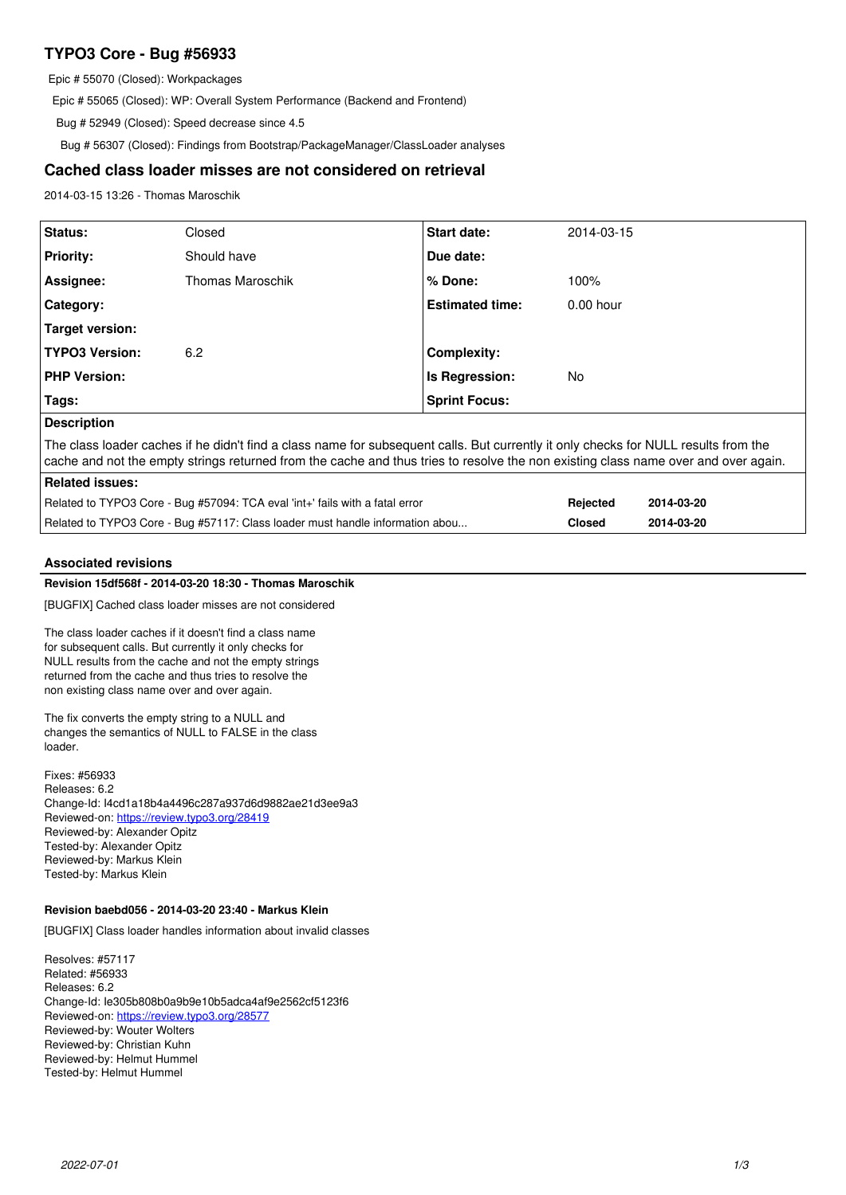# **TYPO3 Core - Bug #56933**

Epic # 55070 (Closed): Workpackages

Epic # 55065 (Closed): WP: Overall System Performance (Backend and Frontend)

Bug # 52949 (Closed): Speed decrease since 4.5

Bug # 56307 (Closed): Findings from Bootstrap/PackageManager/ClassLoader analyses

# **Cached class loader misses are not considered on retrieval**

2014-03-15 13:26 - Thomas Maroschik

| Status:                                                                                                                                                                                                                                                                   | Closed           | <b>Start date:</b>     | 2014-03-15    |            |
|---------------------------------------------------------------------------------------------------------------------------------------------------------------------------------------------------------------------------------------------------------------------------|------------------|------------------------|---------------|------------|
| <b>Priority:</b>                                                                                                                                                                                                                                                          | Should have      | Due date:              |               |            |
| Assignee:                                                                                                                                                                                                                                                                 | Thomas Maroschik | $%$ Done:              | 100%          |            |
| Category:                                                                                                                                                                                                                                                                 |                  | <b>Estimated time:</b> | $0.00$ hour   |            |
| Target version:                                                                                                                                                                                                                                                           |                  |                        |               |            |
| <b>TYPO3 Version:</b>                                                                                                                                                                                                                                                     | 6.2              | Complexity:            |               |            |
| <b>PHP Version:</b>                                                                                                                                                                                                                                                       |                  | <b>Is Regression:</b>  | No.           |            |
| Tags:                                                                                                                                                                                                                                                                     |                  | <b>Sprint Focus:</b>   |               |            |
| <b>Description</b>                                                                                                                                                                                                                                                        |                  |                        |               |            |
| The class loader caches if he didn't find a class name for subsequent calls. But currently it only checks for NULL results from the<br>cache and not the empty strings returned from the cache and thus tries to resolve the non existing class name over and over again. |                  |                        |               |            |
| Related issues:                                                                                                                                                                                                                                                           |                  |                        |               |            |
| Related to TYPO3 Core - Bug #57094: TCA eval 'int+' fails with a fatal error                                                                                                                                                                                              |                  |                        | Rejected      | 2014-03-20 |
| Related to TYPO3 Core - Bug #57117: Class loader must handle information abou                                                                                                                                                                                             |                  |                        | <b>Closed</b> | 2014-03-20 |

### **Associated revisions**

# **Revision 15df568f - 2014-03-20 18:30 - Thomas Maroschik**

[BUGFIX] Cached class loader misses are not considered

The class loader caches if it doesn't find a class name for subsequent calls. But currently it only checks for NULL results from the cache and not the empty strings returned from the cache and thus tries to resolve the non existing class name over and over again.

The fix converts the empty string to a NULL and changes the semantics of NULL to FALSE in the class loader.

Fixes: #56933 Releases: 6.2 Change-Id: I4cd1a18b4a4496c287a937d6d9882ae21d3ee9a3 Reviewed-on:<https://review.typo3.org/28419> Reviewed-by: Alexander Opitz Tested-by: Alexander Opitz Reviewed-by: Markus Klein Tested-by: Markus Klein

# **Revision baebd056 - 2014-03-20 23:40 - Markus Klein**

[BUGFIX] Class loader handles information about invalid classes

Resolves: #57117 Related: #56933 Releases: 6.2 Change-Id: Ie305b808b0a9b9e10b5adca4af9e2562cf5123f6 Reviewed-on:<https://review.typo3.org/28577> Reviewed-by: Wouter Wolters Reviewed-by: Christian Kuhn Reviewed-by: Helmut Hummel Tested-by: Helmut Hummel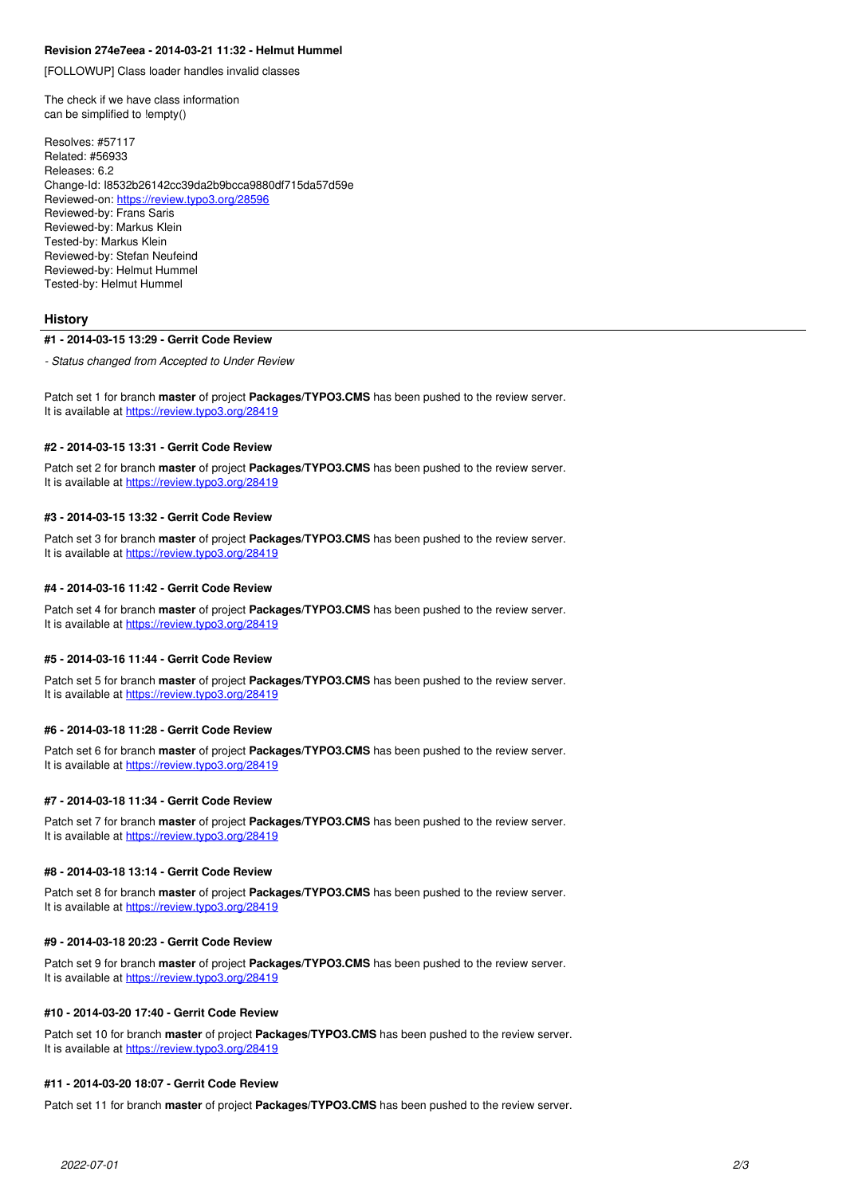### **Revision 274e7eea - 2014-03-21 11:32 - Helmut Hummel**

[FOLLOWUP] Class loader handles invalid classes

The check if we have class information can be simplified to !empty()

Resolves: #57117 Related: #56933 Releases: 6.2 Change-Id: I8532b26142cc39da2b9bcca9880df715da57d59e Reviewed-on:<https://review.typo3.org/28596> Reviewed-by: Frans Saris Reviewed-by: Markus Klein Tested-by: Markus Klein Reviewed-by: Stefan Neufeind Reviewed-by: Helmut Hummel Tested-by: Helmut Hummel

#### **History**

#### **#1 - 2014-03-15 13:29 - Gerrit Code Review**

*- Status changed from Accepted to Under Review*

Patch set 1 for branch **master** of project **Packages/TYPO3.CMS** has been pushed to the review server. It is available at <https://review.typo3.org/28419>

#### **#2 - 2014-03-15 13:31 - Gerrit Code Review**

Patch set 2 for branch **master** of project **Packages/TYPO3.CMS** has been pushed to the review server. It is available at <https://review.typo3.org/28419>

#### **#3 - 2014-03-15 13:32 - Gerrit Code Review**

Patch set 3 for branch **master** of project **Packages/TYPO3.CMS** has been pushed to the review server. It is available at <https://review.typo3.org/28419>

### **#4 - 2014-03-16 11:42 - Gerrit Code Review**

Patch set 4 for branch **master** of project **Packages/TYPO3.CMS** has been pushed to the review server. It is available at <https://review.typo3.org/28419>

### **#5 - 2014-03-16 11:44 - Gerrit Code Review**

Patch set 5 for branch **master** of project **Packages/TYPO3.CMS** has been pushed to the review server. It is available at <https://review.typo3.org/28419>

### **#6 - 2014-03-18 11:28 - Gerrit Code Review**

Patch set 6 for branch **master** of project **Packages/TYPO3.CMS** has been pushed to the review server. It is available at <https://review.typo3.org/28419>

#### **#7 - 2014-03-18 11:34 - Gerrit Code Review**

Patch set 7 for branch **master** of project **Packages/TYPO3.CMS** has been pushed to the review server. It is available at <https://review.typo3.org/28419>

#### **#8 - 2014-03-18 13:14 - Gerrit Code Review**

Patch set 8 for branch **master** of project **Packages/TYPO3.CMS** has been pushed to the review server. It is available at <https://review.typo3.org/28419>

#### **#9 - 2014-03-18 20:23 - Gerrit Code Review**

Patch set 9 for branch **master** of project **Packages/TYPO3.CMS** has been pushed to the review server. It is available at <https://review.typo3.org/28419>

# **#10 - 2014-03-20 17:40 - Gerrit Code Review**

Patch set 10 for branch **master** of project **Packages/TYPO3.CMS** has been pushed to the review server. It is available at <https://review.typo3.org/28419>

### **#11 - 2014-03-20 18:07 - Gerrit Code Review**

Patch set 11 for branch **master** of project **Packages/TYPO3.CMS** has been pushed to the review server.